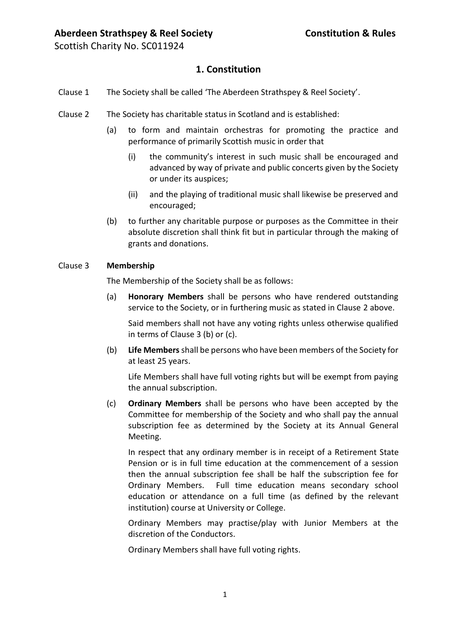Scottish Charity No. SC011924

### **1. Constitution**

- Clause 1 The Society shall be called 'The Aberdeen Strathspey & Reel Society'.
- Clause 2 The Society has charitable status in Scotland and is established:
	- (a) to form and maintain orchestras for promoting the practice and performance of primarily Scottish music in order that
		- (i) the community's interest in such music shall be encouraged and advanced by way of private and public concerts given by the Society or under its auspices;
		- (ii) and the playing of traditional music shall likewise be preserved and encouraged;
	- (b) to further any charitable purpose or purposes as the Committee in their absolute discretion shall think fit but in particular through the making of grants and donations.

#### Clause 3 **Membership**

The Membership of the Society shall be as follows:

(a) **Honorary Members** shall be persons who have rendered outstanding service to the Society, or in furthering music as stated in Clause 2 above.

Said members shall not have any voting rights unless otherwise qualified in terms of Clause 3 (b) or (c).

(b) **Life Members** shall be persons who have been members of the Society for at least 25 years.

Life Members shall have full voting rights but will be exempt from paying the annual subscription.

(c) **Ordinary Members** shall be persons who have been accepted by the Committee for membership of the Society and who shall pay the annual subscription fee as determined by the Society at its Annual General Meeting.

In respect that any ordinary member is in receipt of a Retirement State Pension or is in full time education at the commencement of a session then the annual subscription fee shall be half the subscription fee for Ordinary Members. Full time education means secondary school education or attendance on a full time (as defined by the relevant institution) course at University or College.

Ordinary Members may practise/play with Junior Members at the discretion of the Conductors.

Ordinary Members shall have full voting rights.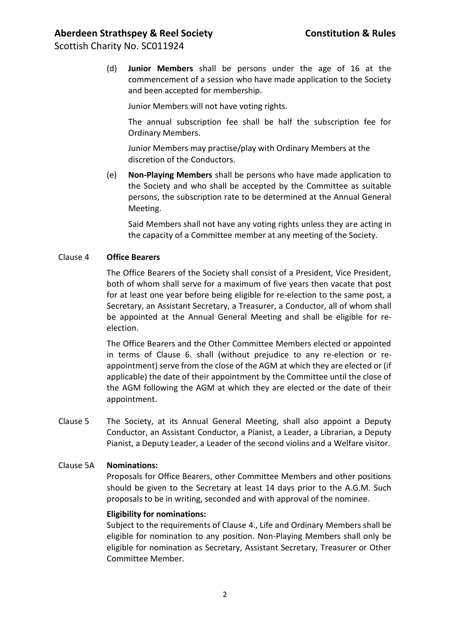Scottish Charity No. SC011924

(d) **Junior Members** shall be persons under the age of 16 at the commencement of a session who have made application to the Society and been accepted for membership.

Junior Members will not have voting rights.

The annual subscription fee shall be half the subscription fee for Ordinary Members.

Junior Members may practise/play with Ordinary Members at the discretion of the Conductors.

(e) **Non-Playing Members** shall be persons who have made application to the Society and who shall be accepted by the Committee as suitable persons, the subscription rate to be determined at the Annual General Meeting.

Said Members shall not have any voting rights unless they are acting in the capacity of a Committee member at any meeting of the Society.

#### Clause 4 **Office Bearers**

The Office Bearers of the Society shall consist of a President, Vice President, both of whom shall serve for a maximum of five years then vacate that post for at least one year before being eligible for re-election to the same post, a Secretary, an Assistant Secretary, a Treasurer, a Conductor, all of whom shall be appointed at the Annual General Meeting and shall be eligible for reelection.

The Office Bearers and the Other Committee Members elected or appointed in terms of Clause 6. shall (without prejudice to any re-election or reappointment) serve from the close of the AGM at which they are elected or (if applicable) the date of their appointment by the Committee until the close of the AGM following the AGM at which they are elected or the date of their appointment.

Clause 5 The Society, at its Annual General Meeting, shall also appoint a Deputy Conductor, an Assistant Conductor, a Pianist, a Leader, a Librarian, a Deputy Pianist, a Deputy Leader, a Leader of the second violins and a Welfare visitor.

#### Clause 5A **Nominations:**

Proposals for Office Bearers, other Committee Members and other positions should be given to the Secretary at least 14 days prior to the A.G.M. Such proposals to be in writing, seconded and with approval of the nominee.

#### **Eligibility for nominations:**

Subject to the requirements of Clause 4., Life and Ordinary Members shall be eligible for nomination to any position. Non-Playing Members shall only be eligible for nomination as Secretary, Assistant Secretary, Treasurer or Other Committee Member.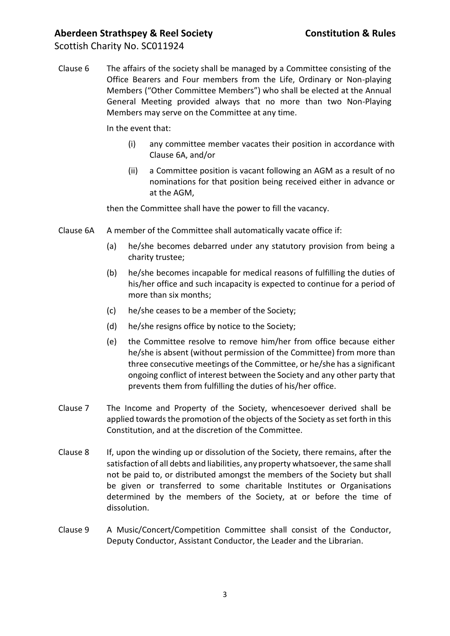Scottish Charity No. SC011924

Clause 6 The affairs of the society shall be managed by a Committee consisting of the Office Bearers and Four members from the Life, Ordinary or Non-playing Members ("Other Committee Members") who shall be elected at the Annual General Meeting provided always that no more than two Non-Playing Members may serve on the Committee at any time.

In the event that:

- (i) any committee member vacates their position in accordance with Clause 6A, and/or
- (ii) a Committee position is vacant following an AGM as a result of no nominations for that position being received either in advance or at the AGM,

then the Committee shall have the power to fill the vacancy.

- Clause 6A A member of the Committee shall automatically vacate office if:
	- (a) he/she becomes debarred under any statutory provision from being a charity trustee;
	- (b) he/she becomes incapable for medical reasons of fulfilling the duties of his/her office and such incapacity is expected to continue for a period of more than six months;
	- (c) he/she ceases to be a member of the Society;
	- (d) he/she resigns office by notice to the Society;
	- (e) the Committee resolve to remove him/her from office because either he/she is absent (without permission of the Committee) from more than three consecutive meetings of the Committee, or he/she has a significant ongoing conflict of interest between the Society and any other party that prevents them from fulfilling the duties of his/her office.
- Clause 7 The Income and Property of the Society, whencesoever derived shall be applied towards the promotion of the objects of the Society as set forth in this Constitution, and at the discretion of the Committee.
- Clause 8 If, upon the winding up or dissolution of the Society, there remains, after the satisfaction of all debts and liabilities, any property whatsoever, the same shall not be paid to, or distributed amongst the members of the Society but shall be given or transferred to some charitable Institutes or Organisations determined by the members of the Society, at or before the time of dissolution.
- Clause 9 A Music/Concert/Competition Committee shall consist of the Conductor, Deputy Conductor, Assistant Conductor, the Leader and the Librarian.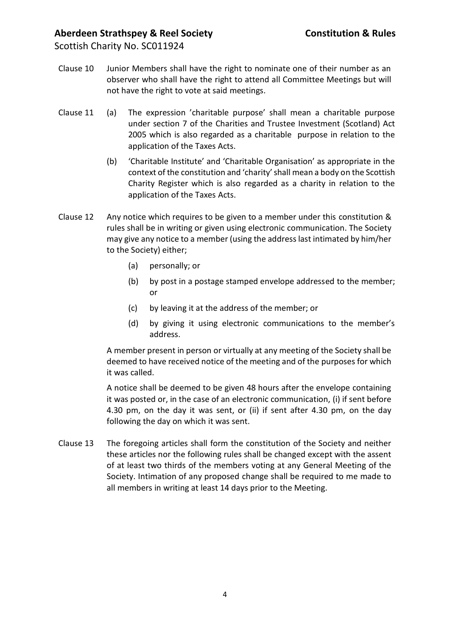Scottish Charity No. SC011924

- Clause 10 Junior Members shall have the right to nominate one of their number as an observer who shall have the right to attend all Committee Meetings but will not have the right to vote at said meetings.
- Clause 11 (a) The expression 'charitable purpose' shall mean a charitable purpose under section 7 of the Charities and Trustee Investment (Scotland) Act 2005 which is also regarded as a charitable purpose in relation to the application of the Taxes Acts.
	- (b) 'Charitable Institute' and 'Charitable Organisation' as appropriate in the context of the constitution and 'charity' shall mean a body on the Scottish Charity Register which is also regarded as a charity in relation to the application of the Taxes Acts.
- Clause 12 Any notice which requires to be given to a member under this constitution & rules shall be in writing or given using electronic communication. The Society may give any notice to a member (using the address last intimated by him/her to the Society) either;
	- (a) personally; or
	- (b) by post in a postage stamped envelope addressed to the member; or
	- (c) by leaving it at the address of the member; or
	- (d) by giving it using electronic communications to the member's address.

A member present in person or virtually at any meeting of the Society shall be deemed to have received notice of the meeting and of the purposes for which it was called.

A notice shall be deemed to be given 48 hours after the envelope containing it was posted or, in the case of an electronic communication, (i) if sent before 4.30 pm, on the day it was sent, or (ii) if sent after 4.30 pm, on the day following the day on which it was sent.

Clause 13 The foregoing articles shall form the constitution of the Society and neither these articles nor the following rules shall be changed except with the assent of at least two thirds of the members voting at any General Meeting of the Society. Intimation of any proposed change shall be required to me made to all members in writing at least 14 days prior to the Meeting.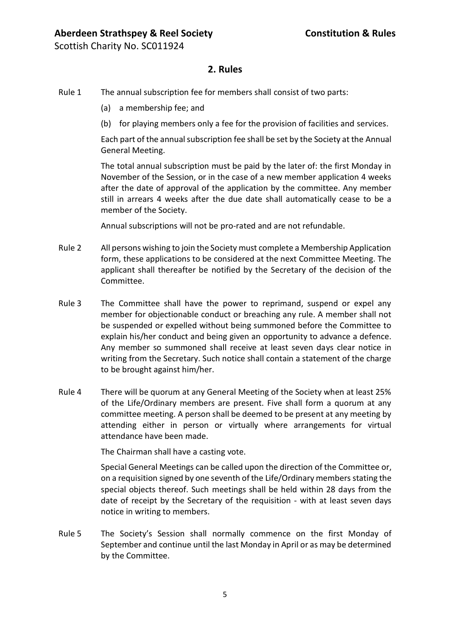Scottish Charity No. SC011924

## **2. Rules**

- Rule 1 The annual subscription fee for members shall consist of two parts:
	- (a) a membership fee; and
	- (b) for playing members only a fee for the provision of facilities and services.

Each part of the annual subscription fee shall be set by the Society at the Annual General Meeting.

The total annual subscription must be paid by the later of: the first Monday in November of the Session, or in the case of a new member application 4 weeks after the date of approval of the application by the committee. Any member still in arrears 4 weeks after the due date shall automatically cease to be a member of the Society.

Annual subscriptions will not be pro-rated and are not refundable.

- Rule 2 All persons wishing to join the Society must complete a Membership Application form, these applications to be considered at the next Committee Meeting. The applicant shall thereafter be notified by the Secretary of the decision of the Committee.
- Rule 3 The Committee shall have the power to reprimand, suspend or expel any member for objectionable conduct or breaching any rule. A member shall not be suspended or expelled without being summoned before the Committee to explain his/her conduct and being given an opportunity to advance a defence. Any member so summoned shall receive at least seven days clear notice in writing from the Secretary. Such notice shall contain a statement of the charge to be brought against him/her.
- Rule 4 There will be quorum at any General Meeting of the Society when at least 25% of the Life/Ordinary members are present. Five shall form a quorum at any committee meeting. A person shall be deemed to be present at any meeting by attending either in person or virtually where arrangements for virtual attendance have been made.

The Chairman shall have a casting vote.

Special General Meetings can be called upon the direction of the Committee or, on a requisition signed by one seventh of the Life/Ordinary members stating the special objects thereof. Such meetings shall be held within 28 days from the date of receipt by the Secretary of the requisition - with at least seven days notice in writing to members.

Rule 5 The Society's Session shall normally commence on the first Monday of September and continue until the last Monday in April or as may be determined by the Committee.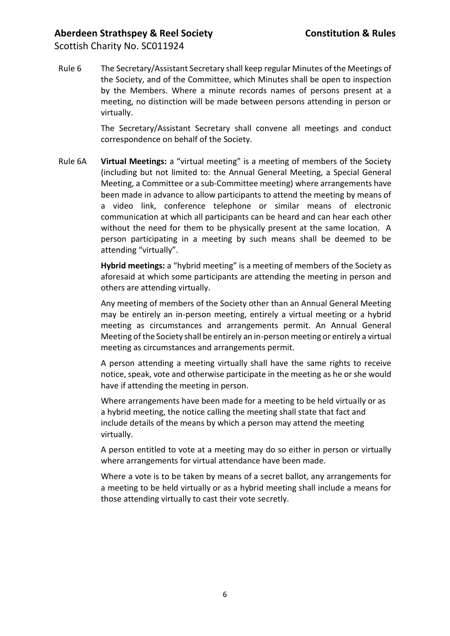Scottish Charity No. SC011924

Rule 6 The Secretary/Assistant Secretary shall keep regular Minutes of the Meetings of the Society, and of the Committee, which Minutes shall be open to inspection by the Members. Where a minute records names of persons present at a meeting, no distinction will be made between persons attending in person or virtually.

> The Secretary/Assistant Secretary shall convene all meetings and conduct correspondence on behalf of the Society.

Rule 6A **Virtual Meetings:** a "virtual meeting" is a meeting of members of the Society (including but not limited to: the Annual General Meeting, a Special General Meeting, a Committee or a sub-Committee meeting) where arrangements have been made in advance to allow participants to attend the meeting by means of a video link, conference telephone or similar means of electronic communication at which all participants can be heard and can hear each other without the need for them to be physically present at the same location. A person participating in a meeting by such means shall be deemed to be attending "virtually".

> **Hybrid meetings:** a "hybrid meeting" is a meeting of members of the Society as aforesaid at which some participants are attending the meeting in person and others are attending virtually.

> Any meeting of members of the Society other than an Annual General Meeting may be entirely an in-person meeting, entirely a virtual meeting or a hybrid meeting as circumstances and arrangements permit. An Annual General Meeting of the Society shall be entirely an in-person meeting or entirely a virtual meeting as circumstances and arrangements permit.

> A person attending a meeting virtually shall have the same rights to receive notice, speak, vote and otherwise participate in the meeting as he or she would have if attending the meeting in person.

Where arrangements have been made for a meeting to be held virtually or as a hybrid meeting, the notice calling the meeting shall state that fact and include details of the means by which a person may attend the meeting virtually.

A person entitled to vote at a meeting may do so either in person or virtually where arrangements for virtual attendance have been made.

Where a vote is to be taken by means of a secret ballot, any arrangements for a meeting to be held virtually or as a hybrid meeting shall include a means for those attending virtually to cast their vote secretly.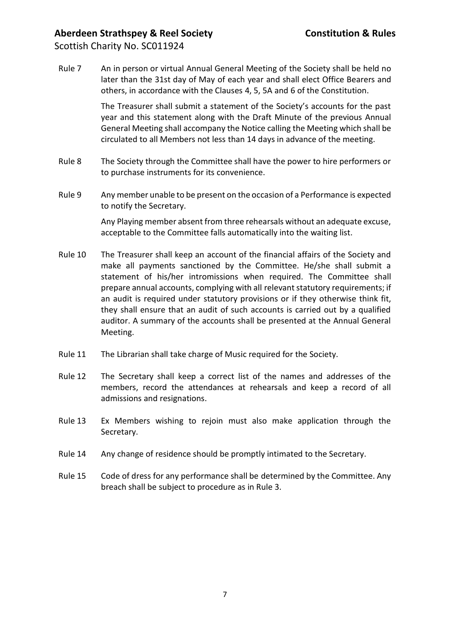Scottish Charity No. SC011924

Rule 7 An in person or virtual Annual General Meeting of the Society shall be held no later than the 31st day of May of each year and shall elect Office Bearers and others, in accordance with the Clauses 4, 5, 5A and 6 of the Constitution.

> The Treasurer shall submit a statement of the Society's accounts for the past year and this statement along with the Draft Minute of the previous Annual General Meeting shall accompany the Notice calling the Meeting which shall be circulated to all Members not less than 14 days in advance of the meeting.

- Rule 8 The Society through the Committee shall have the power to hire performers or to purchase instruments for its convenience.
- Rule 9 Any member unable to be present on the occasion of a Performance is expected to notify the Secretary.

Any Playing member absent from three rehearsals without an adequate excuse, acceptable to the Committee falls automatically into the waiting list.

- Rule 10 The Treasurer shall keep an account of the financial affairs of the Society and make all payments sanctioned by the Committee. He/she shall submit a statement of his/her intromissions when required. The Committee shall prepare annual accounts, complying with all relevant statutory requirements; if an audit is required under statutory provisions or if they otherwise think fit, they shall ensure that an audit of such accounts is carried out by a qualified auditor. A summary of the accounts shall be presented at the Annual General Meeting.
- Rule 11 The Librarian shall take charge of Music required for the Society.
- Rule 12 The Secretary shall keep a correct list of the names and addresses of the members, record the attendances at rehearsals and keep a record of all admissions and resignations.
- Rule 13 Ex Members wishing to rejoin must also make application through the Secretary.
- Rule 14 Any change of residence should be promptly intimated to the Secretary.
- Rule 15 Code of dress for any performance shall be determined by the Committee. Any breach shall be subject to procedure as in Rule 3.